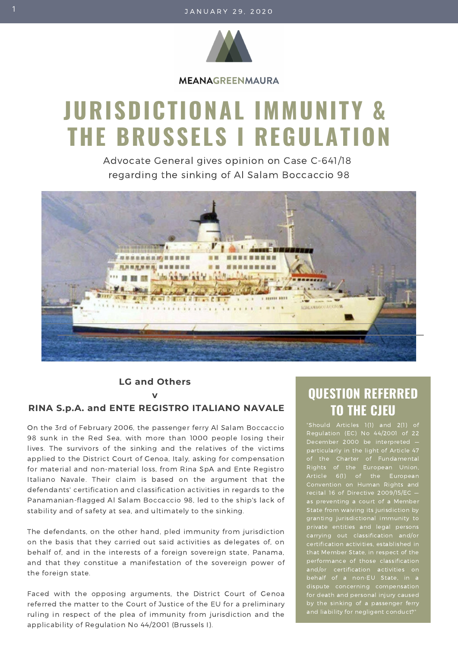

**MEANAGREENMAURA** 

# **JURISDICTIONAL IMMUNITY & THE BRUSSELS I REGULATION**

Advocate General gives opinion on Case C-641/18 regarding the sinking of Al Salam Boccaccio 98



**LG and Others v**

# **RINA S.p.A. and ENTE REGISTRO ITALIANO NAVALE**

On the 3rd of February 2006, the passenger ferry Al Salam Boccaccio 98 sunk in the Red Sea, with more than 1000 people losing their lives. The survivors of the sinking and the relatives of the victims applied to the District Court of Genoa, Italy, asking for compensation for material and non-material loss, from Rina SpA and Ente Registro Italiano Navale. Their claim is based on the argument that the defendants' certification and classification activities in regards to the Panamanian-flagged Al Salam Boccaccio 98, led to the ship's lack of stability and of safety at sea, and ultimately to the sinking.

The defendants, on the other hand, pled immunity from jurisdiction on the basis that they carried out said activities as delegates of, on behalf of, and in the interests of a foreign sovereign state, Panama, and that they constitue a manifestation of the sovereign power of the foreign state.

Faced with the opposing arguments, the District Court of Genoa referred the matter to the Court of Justice of the EU for a preliminary ruling in respect of the plea of immunity from jurisdiction and the applicability of Regulation No 44/2001 (Brussels I).

# **QUESTION REFERRED TO THE CJEU**

Regulation (EC) No 44/2001 of 22 December 2000 be interpreted particularly in the light of Article 47 for death and personal injury caused by the sinking of a passenger ferry and liability for negligent conduct?"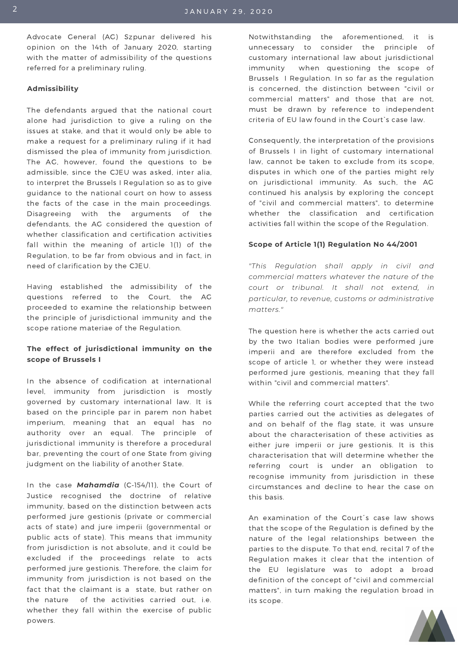Advocate General (AG) Szpunar delivered his opinion on the 14th of January 2020, starting with the matter of admissibility of the questions referred for a preliminary ruling.

#### **Admissibility**

The defendants argued that the national court alone had jurisdiction to give a ruling on the issues at stake, and that it would only be able to make a request for a preliminary ruling if it had dismissed the plea of immunity from jurisdiction. The AG, however, found the questions to be admissible, since the CJEU was asked, inter alia, to interpret the Brussels I Regulation so as to give guidance to the national court on how to assess the facts of the case in the main proceedings. Disagreeing with the arguments of the defendants, the AG considered the question of whether classification and certification activities fall within the meaning of article 1(1) of the Regulation, to be far from obvious and in fact, in need of clarification by the CJEU.

Having established the admissibility of the questions referred to the Court, the AG proceeded to examine the relationship between the principle of jurisdictional immunity and the scope ratione materiae of the Regulation.

### **The effect of jurisdictional immunity on the scope of Brussels I**

In the absence of codification at international level, immunity from jurisdiction is mostly governed by customary international law. It is based on the principle par in parem non habet imperium, meaning that an equal has no authority over an equal. The principle of jurisdictional immunity is therefore a procedural bar, preventing the court of one State from giving judgment on the liability of another State.

In the case *Mahamdia* (C‑154/11), the Court of Justice recognised the doctrine of relative immunity, based on the distinction between acts performed jure gestionis (private or commercial acts of state) and jure imperii (governmental or public acts of state). This means that immunity from jurisdiction is not absolute, and it could be excluded if the proceedings relate to acts performed jure gestionis. Therefore, the claim for immunity from jurisdiction is not based on the fact that the claimant is a state, but rather on the nature of the activities carried out, i.e. whether they fall within the exercise of public powers.

Notwithstanding the aforementioned, it is unnecessary to consider the principle of customary international law about jurisdictional immunity when questioning the scope of Brussels I Regulation. In so far as the regulation is concerned, the distinction between "civil or commercial matters" and those that are not, must be drawn by reference to independent criteria of EU law found in the Court`s case law.

Consequently, the interpretation of the provisions of Brussels I in light of customary international law, cannot be taken to exclude from its scope, disputes in which one of the parties might rely on jurisdictional immunity. As such, the AG continued his analysis by exploring the concept of "civil and commercial matters", to determine whether the classification and certification activities fall within the scope of the Regulation.

#### **Scope of Article 1(1) Regulation No 44/2001**

*"This Regulation shall apply in civil and commercial matters whatever the nature of the court or tribunal. It shall not extend, in particular, to revenue, customs or administrative matters."*

The question here is whether the acts carried out by the two Italian bodies were performed jure imperii and are therefore excluded from the scope of article 1, or whether they were instead performed jure gestionis, meaning that they fall within "civil and commercial matters".

While the referring court accepted that the two parties carried out the activities as delegates of and on behalf of the flag state, it was unsure about the characterisation of these activities as either jure imperii or jure gestionis. It is this characterisation that will determine whether the referring court is under an obligation to recognise immunity from jurisdiction in these circumstances and decline to hear the case on this basis.

An examination of the Court´s case law shows that the scope of the Regulation is defined by the nature of the legal relationships between the parties to the dispute. To that end, recital 7 of the Regulation makes it clear that the intention of the EU legislature was to adopt a broad definition of the concept of "civil and commercial matters", in turn making the regulation broad in its scope.

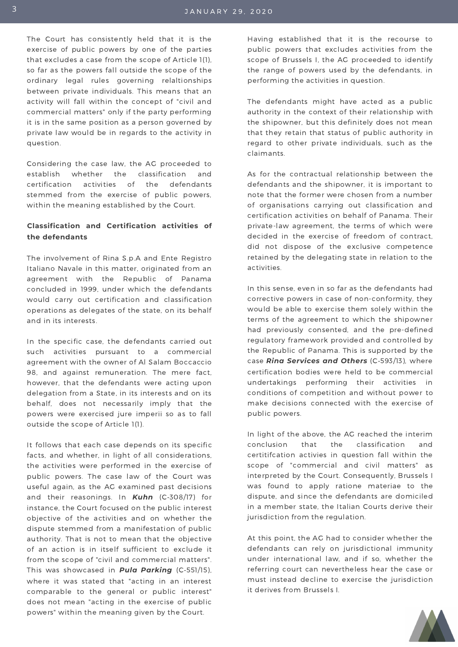The Court has consistently held that it is the exercise of public powers by one of the parties that excludes a case from the scope of Article 1(1), so far as the powers fall outside the scope of the ordinary legal rules governing relaltionships between private individuals. This means that an activity will fall within the concept of "civil and commercial matters" only if the party performing it is in the same position as a person governed by private law would be in regards to the activity in question.

Considering the case law, the AG proceeded to establish whether the classification and certification activities of the defendants stemmed from the exercise of public powers, within the meaning established by the Court.

## **Classification and Certification activities of the defendants**

The involvement of Rina S.p.A and Ente Registro Italiano Navale in this matter, originated from an agreement with the Republic of Panama concluded in 1999, under which the defendants would carry out certification and classification operations as delegates of the state, on its behalf and in its interests.

In the specific case, the defendants carried out such activities pursuant to a commercial agreement with the owner of Al Salam Boccaccio 98, and against remuneration. The mere fact, however, that the defendants were acting upon delegation from a State, in its interests and on its behalf, does not necessarily imply that the powers were exercised jure imperii so as to fall outside the scope of Article 1(1).

It follows that each case depends on its specific facts, and whether, in light of all considerations, the activities were performed in the exercise of public powers. The case law of the Court was useful again, as the AG examined past decisions and their reasonings. In *Kuhn* (C‑308/17) for instance, the Court focused on the public interest objective of the activities and on whether the dispute stemmed from a manifestation of public authority. That is not to mean that the objective of an action is in itself sufficient to exclude it from the scope of "civil and commercial matters". This was showcased in *Pula Parking* (C‑551/15), where it was stated that "acting in an interest comparable to the general or public interest" does not mean "acting in the exercise of public powers" within the meaning given by the Court.

Having established that it is the recourse to public powers that excludes activities from the scope of Brussels I, the AG proceeded to identify the range of powers used by the defendants, in performing the activities in question.

The defendants might have acted as a public authority in the context of their relationship with the shipowner, but this definitely does not mean that they retain that status of public authority in regard to other private individuals, such as the claimants.

As for the contractual relationship between the defendants and the shipowner, it is important to note that the former were chosen from a number of organisations carrying out classification and certification activities on behalf of Panama. Their private-law agreement, the terms of which were decided in the exercise of freedom of contract, did not dispose of the exclusive competence retained by the delegating state in relation to the activities.

In this sense, even in so far as the defendants had corrective powers in case of non-conformity, they would be able to exercise them solely within the terms of the agreement to which the shipowner had previously consented, and the pre-defined regulatory framework provided and controlled by the Republic of Panama. This is supported by the case *Rina Services and Others* (C‑593/13), where certification bodies were held to be commercial undertakings performing their activities in conditions of competition and without power to make decisions connected with the exercise of public powers.

In light of the above, the AG reached the interim conclusion that the classification and certitifcation activies in question fall within the scope of "commercial and civil matters" as interpreted by the Court. Consequently, Brussels I was found to apply ratione materiae to the dispute, and since the defendants are domiciled in a member state, the Italian Courts derive their jurisdiction from the regulation.

At this point, the AG had to consider whether the defendants can rely on jurisdictional immunity under international law, and if so, whether the referring court can nevertheless hear the case or must instead decline to exercise the jurisdiction it derives from Brussels I.

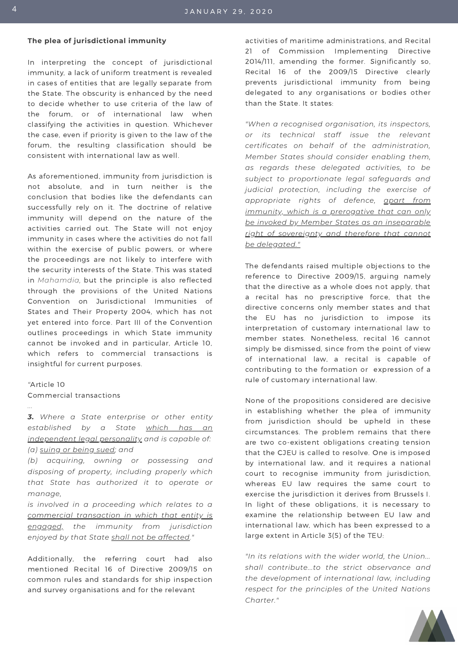#### **The plea of jurisdictional immunity**

In interpreting the concept of jurisdictional immunity, a lack of uniform treatment is revealed in cases of entities that are legally separate from the State. The obscurity is enhanced by the need to decide whether to use criteria of the law of the forum, or of international law when classifying the activities in question. Whichever the case, even if priority is given to the law of the forum, the resulting classification should be consistent with international law as well.

As aforementioned, immunity from jurisdiction is not absolute, and in turn neither is the conclusion that bodies like the defendants can successfully rely on it. The doctrine of relative immunity will depend on the nature of the activities carried out. The State will not enjoy immunity in cases where the activities do not fall within the exercise of public powers, or where the proceedings are not likely to interfere with the security interests of the State. This was stated in *Mahamdia,* but the principle is also reflected through the provisions of the United Nations Convention on Jurisdictional Immunities of States and Their Property 2004, which has not yet entered into force. Part III of the Convention outlines proceedings in which State immunity cannot be invoked and in particular, Article 10, which refers to commercial transactions is insightful for current purposes.

#### *"*Article 10

*...*

Commercial transactions

*3. Where a State enterprise or other entity established by a State which has an independent legal personality and is capable of: (a) suing or being sued; and*

*(b) acquiring, owning or possessing and disposing of property, including properly which that State has authorized it to operate or manage,*

*is involved in a proceeding which relates to a commercial transaction in which that entity is engaged, the immunity from jurisdiction enjoyed by that State shall not be affected."*

Additionally, the referring court had also mentioned Recital 16 of Directive 2009/15 on common rules and standards for ship inspection and survey organisations and for the relevant

activities of maritime administrations, and Recital 21 of Commission Implementing Directive 2014/111, amending the former. Significantly so, Recital 16 of the 2009/15 Directive clearly prevents jurisdictional immunity from being delegated to any organisations or bodies other than the State. It states:

*"When a recognised organisation, its inspectors, or its technical staff issue the relevant certificates on behalf of the administration, Member States should consider enabling them, as regards these delegated activities, to be subject to proportionate legal safeguards and judicial protection, including the exercise of appropriate rights of defence, apart from immunity, which is a prerogative that can only be invoked by Member States as an inseparable right of sovereignty and therefore that cannot be delegated."*

The defendants raised multiple objections to the reference to Directive 2009/15, arguing namely that the directive as a whole does not apply, that a recital has no prescriptive force, that the directive concerns only member states and that the EU has no jurisdiction to impose its interpretation of customary international law to member states. Nonetheless, recital 16 cannot simply be dismissed, since from the point of view of international law, a recital is capable of contributing to the formation or expression of a rule of customary international law.

None of the propositions considered are decisive in establishing whether the plea of immunity from jurisdiction should be upheld in these circumstances. The problem remains that there are two co-existent obligations creating tension that the CJEU is called to resolve. One is imposed by international law, and it requires a national court to recognise immunity from jurisdiction, whereas EU law requires the same court to exercise the jurisdiction it derives from Brussels I. In light of these obligations, it is necessary to examine the relationship between EU law and international law, which has been expressed to a large extent in Article 3(5) of the TEU:

*"In its relations with the wider world, the Union... shall contribute...to the strict observance and the development of international law, including respect for the principles of the United Nations Charter."*